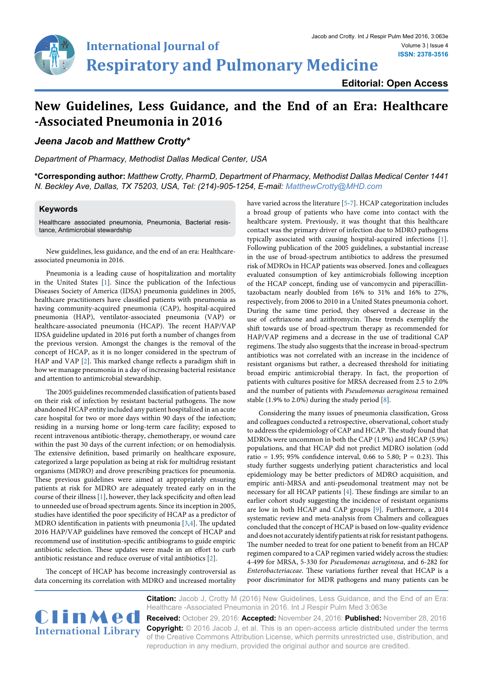

## **New Guidelines, Less Guidance, and the End of an Era: Healthcare -Associated Pneumonia in 2016**

*Jeena Jacob and Matthew Crotty\**

*Department of Pharmacy, Methodist Dallas Medical Center, USA*

**\*Corresponding author:** *Matthew Crotty, PharmD, Department of Pharmacy, Methodist Dallas Medical Center 1441 N. Beckley Ave, Dallas, TX 75203, USA, Tel: (214)-905-1254, E-mail: MatthewCrotty@MHD.com*

## **Keywords**

Healthcare associated pneumonia, Pneumonia, Bacterial resistance, Antimicrobial stewardship

New guidelines, less guidance, and the end of an era: Healthcareassociated pneumonia in 2016.

Pneumonia is a leading cause of hospitalization and mortality in the United States [\[1](#page-1-2)]. Since the publication of the Infectious Diseases Society of America (IDSA) pneumonia guidelines in 2005, healthcare practitioners have classified patients with pneumonia as having community-acquired pneumonia (CAP), hospital-acquired pneumonia (HAP), ventilator-associated pneumonia (VAP) or healthcare-associated pneumonia (HCAP). The recent HAP/VAP IDSA guideline updated in 2016 put forth a number of changes from the previous version. Amongst the changes is the removal of the concept of HCAP, as it is no longer considered in the spectrum of HAP and VAP [\[2\]](#page-1-6). This marked change reflects a paradigm shift in how we manage pneumonia in a day of increasing bacterial resistance and attention to antimicrobial stewardship.

The 2005 guidelines recommended classification of patients based on their risk of infection by resistant bacterial pathogens. The now abandoned HCAP entity included any patient hospitalized in an acute care hospital for two or more days within 90 days of the infection; residing in a nursing home or long-term care facility; exposed to recent intravenous antibiotic-therapy, chemotherapy, or wound care within the past 30 days of the current infection; or on hemodialysis. The extensive definition, based primarily on healthcare exposure, categorized a large population as being at risk for multidrug resistant organisms (MDRO) and drove prescribing practices for pneumonia. These previous guidelines were aimed at appropriately ensuring patients at risk for MDRO are adequately treated early on in the course of their illness [\[1](#page-1-2)], however, they lack specificity and often lead to unneeded use of broad spectrum agents. Since its inception in 2005, studies have identified the poor specificity of HCAP as a predictor of MDRO identification in patients with pneumonia [\[3,](#page-1-7)[4](#page-1-4)]. The updated 2016 HAP/VAP guidelines have removed the concept of HCAP and recommend use of institution-specific antibiograms to guide empiric antibiotic selection. These updates were made in an effort to curb antibiotic resistance and reduce overuse of vital antibiotics [\[2\]](#page-1-6).

The concept of HCAP has become increasingly controversial as data concerning its correlation with MDRO and increased mortality have varied across the literature [\[5](#page-1-0)-[7\]](#page-1-1). HCAP categorization includes a broad group of patients who have come into contact with the healthcare system. Previously, it was thought that this healthcare contact was the primary driver of infection due to MDRO pathogens typically associated with causing hospital-acquired infections [\[1\]](#page-1-2). Following publication of the 2005 guidelines, a substantial increase in the use of broad-spectrum antibiotics to address the presumed risk of MDROs in HCAP patients was observed. Jones and colleagues evaluated consumption of key antimicrobials following inception of the HCAP concept, finding use of vancomycin and piperacillintazobactam nearly doubled from 16% to 31% and 16% to 27%, respectively, from 2006 to 2010 in a United States pneumonia cohort. During the same time period, they observed a decrease in the use of ceftriaxone and azithromycin. These trends exemplify the shift towards use of broad-spectrum therapy as recommended for HAP/VAP regimens and a decrease in the use of traditional CAP regimens. The study also suggests that the increase in broad-spectrum antibiotics was not correlated with an increase in the incidence of resistant organisms but rather, a decreased threshold for initiating broad empiric antimicrobial therapy. In fact, the proportion of patients with cultures positive for MRSA decreased from 2.5 to 2.0% and the number of patients with *Pseudomonas aeruginosa* remained stable (1.9% to 2.0%) during the study period [[8\]](#page-1-3).

Considering the many issues of pneumonia classification, Gross and colleagues conducted a retrospective, observational, cohort study to address the epidemiology of CAP and HCAP. The study found that MDROs were uncommon in both the CAP (1.9%) and HCAP (5.9%) populations, and that HCAP did not predict MDRO isolation (odd ratio = 1.95; 95% confidence interval, 0.66 to 5.80;  $P = 0.23$ ). This study further suggests underlying patient characteristics and local epidemiology may be better predictors of MDRO acquisition, and empiric anti-MRSA and anti-pseudomonal treatment may not be necessary for all HCAP patients [\[4\]](#page-1-4). These findings are similar to an earlier cohort study suggesting the incidence of resistant organisms are low in both HCAP and CAP groups [\[9](#page-1-5)]. Furthermore, a 2014 systematic review and meta-analysis from Chalmers and colleagues concluded that the concept of HCAP is based on low-quality evidence and does not accurately identify patients at risk for resistant pathogens. The number needed to treat for one patient to benefit from an HCAP regimen compared to a CAP regimen varied widely across the studies: 4-499 for MRSA, 5-330 for *Pseudomonas aeruginosa*, and 6-282 for *Enterobacteriaceae*. These variations further reveal that HCAP is a poor discriminator for MDR pathogens and many patients can be

**Citation:** Jacob J, Crotty M (2016) New Guidelines, Less Guidance, and the End of an Era: Healthcare -Associated Pneumonia in 2016. Int J Respir Pulm Med 3:063e



**Received:** October 29, 2016: **Accepted:** November 24, 2016: **Published:** November 28, 2016 **Copyright:** © 2016 Jacob J, et al. This is an open-access article distributed under the terms of the Creative Commons Attribution License, which permits unrestricted use, distribution, and reproduction in any medium, provided the original author and source are credited.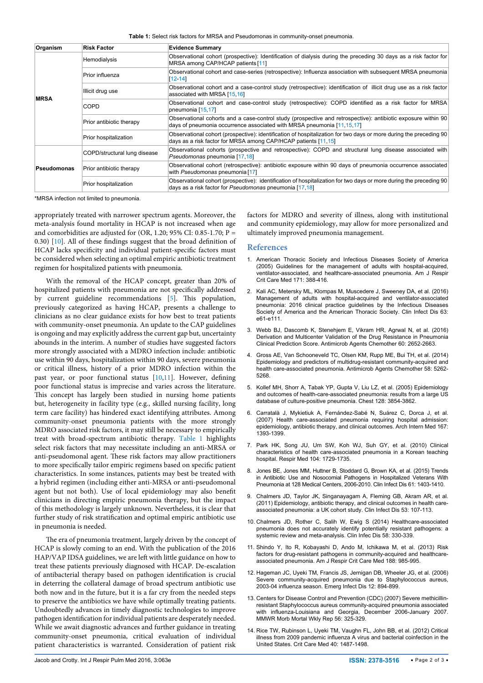<span id="page-1-10"></span>**Table 1:** Select risk factors for MRSA and Pseudomonas in community-onset pneumonia.

| Organism    | <b>Risk Factor</b>           | <b>Evidence Summary</b>                                                                                                                                                                 |
|-------------|------------------------------|-----------------------------------------------------------------------------------------------------------------------------------------------------------------------------------------|
| <b>MRSA</b> | Hemodialysis                 | Observational cohort (prospective): Identification of dialysis during the preceding 30 days as a risk factor for<br>MRSA among CAP/HCAP patients [11]                                   |
|             | Prior influenza              | Observational cohort and case-series (retrospective): Influenza association with subsequent MRSA pneumonia<br>$[12 - 14]$                                                               |
|             | Illicit drug use             | Observational cohort and a case-control study (retrospective): identification of illicit drug use as a risk factor<br>associated with MRSA [15,16]                                      |
|             | <b>COPD</b>                  | Observational cohort and case-control study (retrospective): COPD identified as a risk factor for MRSA<br>pneumonia [15,17]                                                             |
|             | Prior antibiotic therapy     | Observational cohorts and a case-control study (prospective and retrospective): antibiotic exposure within 90<br>days of pneumonia occurrence associated with MRSA pneumonia [11,15,17] |
|             | Prior hospitalization        | Observational cohort (prospective): identification of hospitalization for two days or more during the preceding 90<br>days as a risk factor for MRSA among CAP/HCAP patients [11,15]    |
| Pseudomonas | COPD/structural lung disease | Observational cohorts (prospective and retrospective): COPD and structural lung disease associated with<br>Pseudomonas pneumonia [17,18]                                                |
|             | Prior antibiotic therapy     | Observational cohort (retrospective): antibiotic exposure within 90 days of pneumonia occurrence associated<br>with Pseudomonas pneumonia [17]                                          |
|             | Prior hospitalization        | Observational cohort (prospective): identification of hospitalization for two days or more during the preceding 90<br>days as a risk factor for Pseudomonas pneumonia [17,18]           |

\*MRSA infection not limited to pneumonia.

appropriately treated with narrower spectrum agents. Moreover, the meta-analysis found mortality in HCAP is not increased when age and comorbidities are adjusted for (OR, 1.20; 95% CI: 0.85-1.70;  $P =$ 0.30) [[10](#page-1-8)]. All of these findings suggest that the broad definition of HCAP lacks specificity and individual patient-specific factors must be considered when selecting an optimal empiric antibiotic treatment regimen for hospitalized patients with pneumonia.

With the removal of the HCAP concept, greater than 20% of hospitalized patients with pneumonia are not specifically addressed by current guideline recommendations [\[5\]](#page-1-0). This population, previously categorized as having HCAP, presents a challenge to clinicians as no clear guidance exists for how best to treat patients with community-onset pneumonia. An update to the CAP guidelines is ongoing and may explicitly address the current gap but, uncertainty abounds in the interim. A number of studies have suggested factors more strongly associated with a MDRO infection include: antibiotic use within 90 days, hospitalization within 90 days, severe pneumonia or critical illness, history of a prior MDRO infection within the past year, or poor functional status [\[10,](#page-1-8)[11\]](#page-1-9). However, defining poor functional status is imprecise and varies across the literature. This concept has largely been studied in nursing home patients but, heterogeneity in facility type (e.g., skilled nursing facility, long term care facility) has hindered exact identifying attributes. Among community-onset pneumonia patients with the more strongly MDRO associated risk factors, it may still be necessary to empirically treat with broad-spectrum antibiotic therapy. [Table 1](#page-1-10) highlights select risk factors that may necessitate including an anti-MRSA or anti-pseudomonal agent. These risk factors may allow practitioners to more specifically tailor empiric regimens based on specific patient characteristics. In some instances, patients may best be treated with a hybrid regimen (including either anti-MRSA or anti-pseudomonal agent but not both). Use of local epidemiology may also benefit clinicians in directing empiric pneumonia therapy, but the impact of this methodology is largely unknown. Nevertheless, it is clear that further study of risk stratification and optimal empiric antibiotic use in pneumonia is needed.

The era of pneumonia treatment, largely driven by the concept of HCAP is slowly coming to an end. With the publication of the 2016 HAP/VAP IDSA guidelines, we are left with little guidance on how to treat these patients previously diagnosed with HCAP. De-escalation of antibacterial therapy based on pathogen identification is crucial in deterring the collateral damage of broad spectrum antibiotic use both now and in the future, but it is a far cry from the needed steps to preserve the antibiotics we have while optimally treating patients. Undoubtedly advances in timely diagnostic technologies to improve pathogen identification for individual patients are desperately needed. While we await diagnostic advances and further guidance in treating community-onset pneumonia, critical evaluation of individual patient characteristics is warranted. Consideration of patient risk factors for MDRO and severity of illness, along with institutional and community epidemiology, may allow for more personalized and ultimately improved pneumonia management.

## **References**

- <span id="page-1-2"></span>1. [American Thoracic Society and Infectious Diseases Society of America](https://www.ncbi.nlm.nih.gov/pubmed/15699079)  [\(2005\) Guidelines for the management of adults with hospital-acquired,](https://www.ncbi.nlm.nih.gov/pubmed/15699079)  [ventilator-associated, and healthcare-associated pneumonia. Am J Respir](https://www.ncbi.nlm.nih.gov/pubmed/15699079)  [Crit Care Med 171: 388-416.](https://www.ncbi.nlm.nih.gov/pubmed/15699079)
- <span id="page-1-6"></span>2. [Kali AC, Metersky ML, Klompas M, Muscedere J,](https://www.ncbi.nlm.nih.gov/pubmed/27418577) Sweeney DA, et al. (2016) [Management of adults with hospital-acquired and ventilator-associated](https://www.ncbi.nlm.nih.gov/pubmed/27418577)  [pneumonia: 2016 clinical practice guidelines by the Infectious Diseases](https://www.ncbi.nlm.nih.gov/pubmed/27418577)  [Society of America and the American Thoracic Society. Clin Infect Dis 63:](https://www.ncbi.nlm.nih.gov/pubmed/27418577)  [e61-e111.](https://www.ncbi.nlm.nih.gov/pubmed/27418577)
- <span id="page-1-7"></span>3. [Webb BJ, Dascomb K, Stenehjem E, Vikram HR, Agrwal N, et al. \(2016\)](http://www.ncbi.nlm.nih.gov/pubmed/26856838)  [Derivation and Multicenter Validation of the Drug Resistance in Pneumonia](http://www.ncbi.nlm.nih.gov/pubmed/26856838)  [Clinical Prediction Score. Antimicrob Agents Chemother 60: 2652-2663.](http://www.ncbi.nlm.nih.gov/pubmed/26856838)
- <span id="page-1-4"></span>4. [Gross AE, Van Schooneveld TC, Olsen KM, Rupp ME,](https://www.ncbi.nlm.nih.gov/pubmed/24957843) Bui TH, et al. (2014) [Epidemiology and predictors of multidrug-resistant community-acquired and](https://www.ncbi.nlm.nih.gov/pubmed/24957843)  [health care-associated pneumonia. Antimicrob Agents Chemother 58: 5262-](https://www.ncbi.nlm.nih.gov/pubmed/24957843) [5268.](https://www.ncbi.nlm.nih.gov/pubmed/24957843)
- <span id="page-1-0"></span>5. [Kollef MH, Shorr A, Tabak YP, Gupta V, Liu LZ, et al. \(2005\) Epidemiology](http://www.ncbi.nlm.nih.gov/pubmed/16354854)  [and outcomes of health-care-associated pneumonia: results from a large US](http://www.ncbi.nlm.nih.gov/pubmed/16354854)  [database of culture-positive pneumonia. Chest 128: 3854-3862.](http://www.ncbi.nlm.nih.gov/pubmed/16354854)
- 6. [Carratalà J, Mykietiuk A, Fernández-Sabé N, Suárez C, Dorca J, et al.](http://www.ncbi.nlm.nih.gov/pubmed/17620533)  [\(2007\) Health care-associated pneumonia requiring hospital admission:](http://www.ncbi.nlm.nih.gov/pubmed/17620533)  [epidemiology, antibiotic therapy, and clinical outcomes. Arch Intern Med 167:](http://www.ncbi.nlm.nih.gov/pubmed/17620533)  [1393-1399.](http://www.ncbi.nlm.nih.gov/pubmed/17620533)
- <span id="page-1-1"></span>7. [Park HK, Song JU, Um SW, Koh WJ, Suh GY, et al. \(2010\) Clinical](http://www.ncbi.nlm.nih.gov/pubmed/20605087)  [characteristics of health care-associated pneumonia in a Korean teaching](http://www.ncbi.nlm.nih.gov/pubmed/20605087)  [hospital. Respir Med 104: 1729-1735.](http://www.ncbi.nlm.nih.gov/pubmed/20605087)
- <span id="page-1-3"></span>8. [Jones BE, Jones MM, Huttner B, Stoddard G, Brown KA, et al. \(2015\) Trends](http://www.ncbi.nlm.nih.gov/pubmed/26223995)  [in Antibiotic Use and Nosocomial Pathogens in Hospitalized Veterans With](http://www.ncbi.nlm.nih.gov/pubmed/26223995)  [Pneumonia at 128 Medical Centers, 2006-2010. Clin Infect Dis 61: 1403-1410.](http://www.ncbi.nlm.nih.gov/pubmed/26223995)
- <span id="page-1-5"></span>9. [Chalmers JD, Taylor JK, Singanayagam A, Fleming GB, Akram AR, et al.](http://www.ncbi.nlm.nih.gov/pubmed/21690616)  [\(2011\) Epidemiology, antibiotic therapy, and clinical outcomes in health care](http://www.ncbi.nlm.nih.gov/pubmed/21690616)[associated pneumonia: a UK cohort study. Clin Infect Dis 53: 107-113.](http://www.ncbi.nlm.nih.gov/pubmed/21690616)
- <span id="page-1-8"></span>10. [Chalmers JD, Rother C, Salih W, Ewig S \(2014\) Healthcare-associated](https://www.ncbi.nlm.nih.gov/pubmed/24270053)  [pneumonia does not accurately identify potentially resistant pathogens: a](https://www.ncbi.nlm.nih.gov/pubmed/24270053)  [systemic review and meta-analysis. Clin Infec Dis 58: 330-339.](https://www.ncbi.nlm.nih.gov/pubmed/24270053)
- <span id="page-1-9"></span>11. [Shindo Y, Ito R, Kobayashi D, Ando M, Ichikawa M, et al. \(2013\) Risk](http://www.ncbi.nlm.nih.gov/pubmed/23855620)  [factors for drug-resistant pathogens in community-acquired and healthcare](http://www.ncbi.nlm.nih.gov/pubmed/23855620)[associated pneumonia. Am J Respir Crit Care Med 188: 985-995.](http://www.ncbi.nlm.nih.gov/pubmed/23855620)
- <span id="page-1-11"></span>12. [Hageman JC, Uyeki TM, Francis JS, Jernigan DB, Wheeler JG, et al. \(2006\)](http://www.ncbi.nlm.nih.gov/pubmed/16707043)  [Severe community-acquired pneumonia due to Staphylococcus aureus,](http://www.ncbi.nlm.nih.gov/pubmed/16707043)  [2003-04 influenza season. Emerg Infect Dis 12: 894-899.](http://www.ncbi.nlm.nih.gov/pubmed/16707043)
- 13. [Centers for Disease Control and Prevention \(CDC\) \(2007\) Severe methicillin](https://www.ncbi.nlm.nih.gov/pubmed/17431376)[resistant Staphylococcus aureus community-acquired pneumonia associated](https://www.ncbi.nlm.nih.gov/pubmed/17431376)  with influenza-Louisiana [and Georgia, December 2006-January 2007.](https://www.ncbi.nlm.nih.gov/pubmed/17431376) [MMWR Morb Mortal Wkly Rep 56: 325-329.](https://www.ncbi.nlm.nih.gov/pubmed/17431376)
- <span id="page-1-12"></span>14. [Rice TW, Rubinson L, Uyeki TM, Vaughn FL, John BB, et al. \(2012\) Critical](http://www.ncbi.nlm.nih.gov/pubmed/22511131)  [illness from 2009 pandemic influenza A virus and bacterial coinfection in the](http://www.ncbi.nlm.nih.gov/pubmed/22511131)  [United States. Crit Care Med 40: 1487-1498.](http://www.ncbi.nlm.nih.gov/pubmed/22511131)